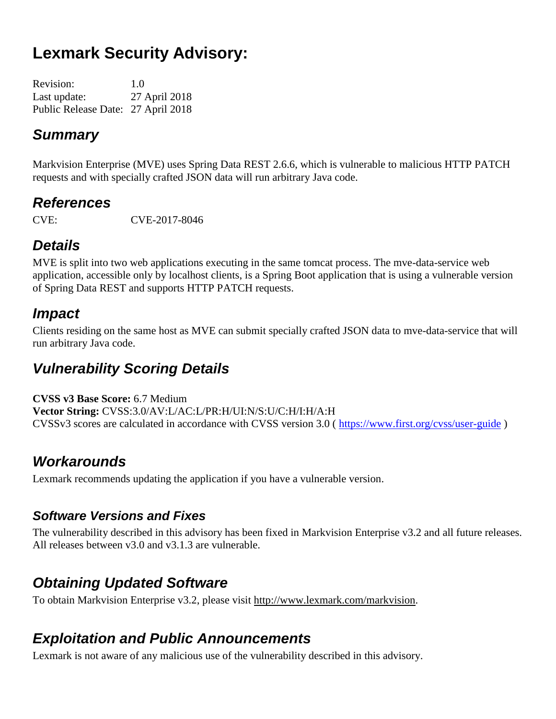# **Lexmark Security Advisory:**

| <b>Revision:</b>                   | 1.0           |
|------------------------------------|---------------|
| Last update:                       | 27 April 2018 |
| Public Release Date: 27 April 2018 |               |

### *Summary*

Markvision Enterprise (MVE) uses Spring Data REST 2.6.6, which is vulnerable to malicious HTTP PATCH requests and with specially crafted JSON data will run arbitrary Java code.

### *References*

CVE: CVE-2017-8046

## *Details*

MVE is split into two web applications executing in the same tomcat process. The mve-data-service web application, accessible only by localhost clients, is a Spring Boot application that is using a vulnerable version of Spring Data REST and supports HTTP PATCH requests.

### *Impact*

Clients residing on the same host as MVE can submit specially crafted JSON data to mve-data-service that will run arbitrary Java code.

## *Vulnerability Scoring Details*

**CVSS v3 Base Score:** 6.7 Medium **Vector String:** CVSS:3.0/AV:L/AC:L/PR:H/UI:N/S:U/C:H/I:H/A:H CVSSv3 scores are calculated in accordance with CVSS version 3.0 ( <https://www.first.org/cvss/user-guide> )

## *Workarounds*

Lexmark recommends updating the application if you have a vulnerable version.

#### *Software Versions and Fixes*

The vulnerability described in this advisory has been fixed in Markvision Enterprise v3.2 and all future releases. All releases between v3.0 and v3.1.3 are vulnerable.

## *Obtaining Updated Software*

To obtain Markvision Enterprise v3.2, please visit http://www.lexmark.com/markvision.

### *Exploitation and Public Announcements*

Lexmark is not aware of any malicious use of the vulnerability described in this advisory.